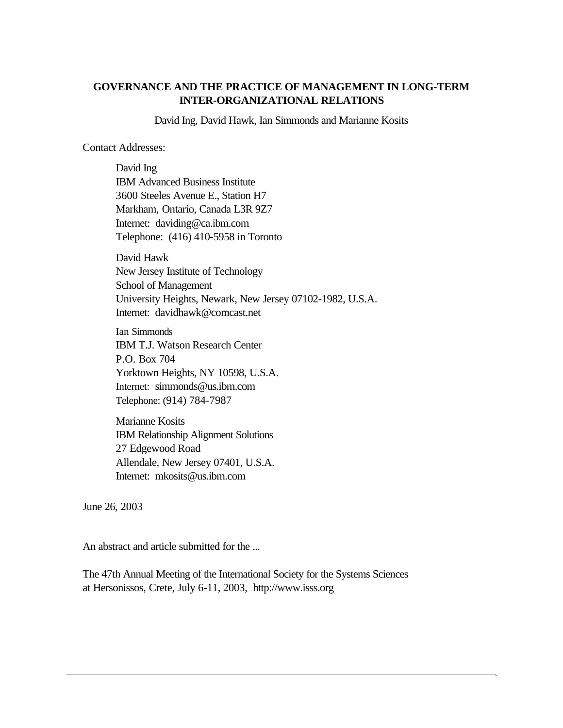# **GOVERNANCE AND THE PRACTICE OF MANAGEMENT IN LONG-TERM INTER-ORGANIZATIONAL RELATIONS**

David Ing, David Hawk, Ian Simmonds and Marianne Kosits

Contact Addresses:

David Ing IBM Advanced Business Institute 3600 Steeles Avenue E., Station H7 Markham, Ontario, Canada L3R 9Z7 Internet: daviding@ca.ibm.com Telephone: (416) 410-5958 in Toronto

David Hawk New Jersey Institute of Technology School of Management University Heights, Newark, New Jersey 07102-1982, U.S.A. Internet: davidhawk@comcast.net

Ian Simmonds IBM T.J. Watson Research Center P.O. Box 704 Yorktown Heights, NY 10598, U.S.A. Internet: simmonds@us.ibm.com Telephone: (914) 784-7987

Marianne Kosits IBM Relationship Alignment Solutions 27 Edgewood Road Allendale, New Jersey 07401, U.S.A. Internet: mkosits@us.ibm.com

June 26, 2003

An abstract and article submitted for the ...

The 47th Annual Meeting of the International Society for the Systems Sciences at Hersonissos, Crete, July 6-11, 2003, http://www.isss.org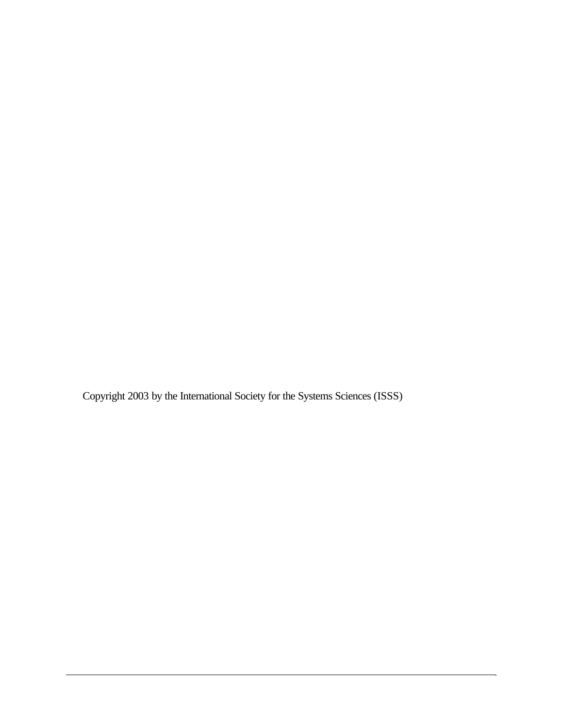Copyright 2003 by the International Society for the Systems Sciences (ISSS)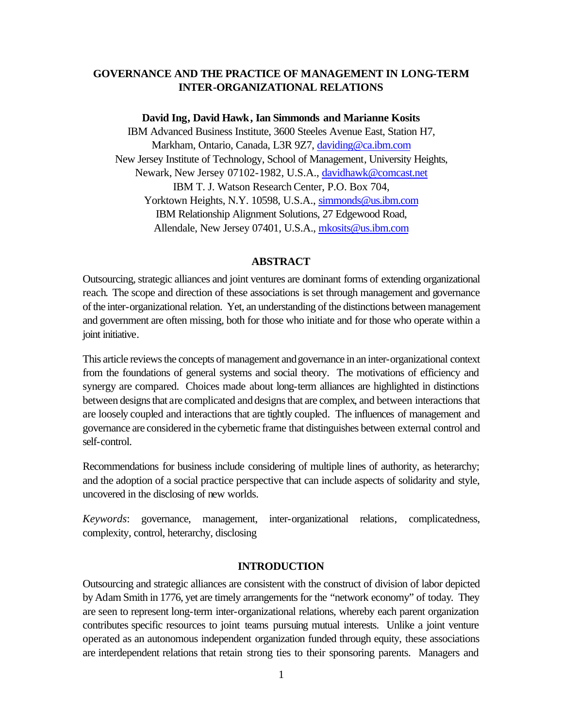# **GOVERNANCE AND THE PRACTICE OF MANAGEMENT IN LONG-TERM INTER-ORGANIZATIONAL RELATIONS**

#### **David Ing, David Hawk, Ian Simmonds and Marianne Kosits**

IBM Advanced Business Institute, 3600 Steeles Avenue East, Station H7, Markham, Ontario, Canada, L3R 9Z7, daviding@ca.ibm.com New Jersey Institute of Technology, School of Management, University Heights, Newark, New Jersey 07102-1982, U.S.A., davidhawk@comcast.net IBM T. J. Watson Research Center, P.O. Box 704, Yorktown Heights, N.Y. 10598, U.S.A., simmonds@us.ibm.com IBM Relationship Alignment Solutions, 27 Edgewood Road, Allendale, New Jersey 07401, U.S.A., mkosits@us.ibm.com

#### **ABSTRACT**

Outsourcing, strategic alliances and joint ventures are dominant forms of extending organizational reach. The scope and direction of these associations is set through management and governance of the inter-organizational relation. Yet, an understanding of the distinctions between management and government are often missing, both for those who initiate and for those who operate within a joint initiative.

This article reviews the concepts of management and governance in an inter-organizational context from the foundations of general systems and social theory. The motivations of efficiency and synergy are compared. Choices made about long-term alliances are highlighted in distinctions between designs that are complicated and designs that are complex, and between interactions that are loosely coupled and interactions that are tightly coupled. The influences of management and governance are considered in the cybernetic frame that distinguishes between external control and self-control.

Recommendations for business include considering of multiple lines of authority, as heterarchy; and the adoption of a social practice perspective that can include aspects of solidarity and style, uncovered in the disclosing of new worlds.

*Keywords*: governance, management, inter-organizational relations, complicatedness, complexity, control, heterarchy, disclosing

#### **INTRODUCTION**

Outsourcing and strategic alliances are consistent with the construct of division of labor depicted by Adam Smith in 1776, yet are timely arrangements for the "network economy" of today. They are seen to represent long-term inter-organizational relations, whereby each parent organization contributes specific resources to joint teams pursuing mutual interests. Unlike a joint venture operated as an autonomous independent organization funded through equity, these associations are interdependent relations that retain strong ties to their sponsoring parents. Managers and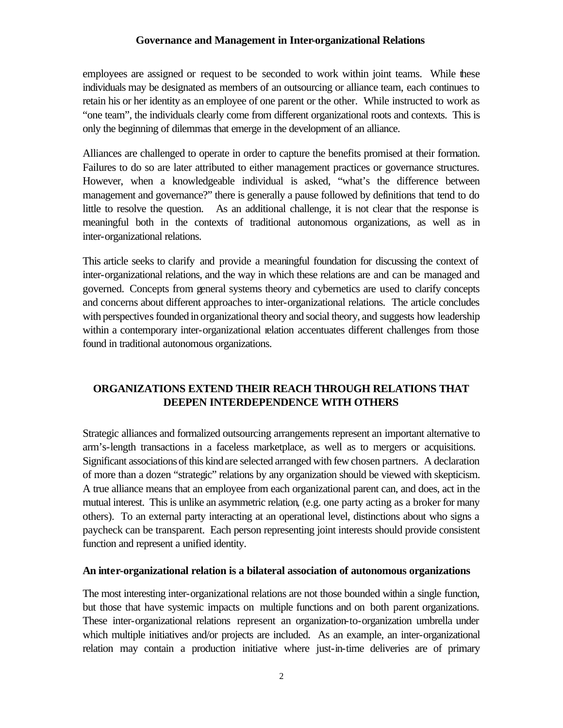employees are assigned or request to be seconded to work within joint teams. While these individuals may be designated as members of an outsourcing or alliance team, each continues to retain his or her identity as an employee of one parent or the other. While instructed to work as "one team", the individuals clearly come from different organizational roots and contexts. This is only the beginning of dilemmas that emerge in the development of an alliance.

Alliances are challenged to operate in order to capture the benefits promised at their formation. Failures to do so are later attributed to either management practices or governance structures. However, when a knowledgeable individual is asked, "what's the difference between management and governance?" there is generally a pause followed by definitions that tend to do little to resolve the question. As an additional challenge, it is not clear that the response is meaningful both in the contexts of traditional autonomous organizations, as well as in inter-organizational relations.

This article seeks to clarify and provide a meaningful foundation for discussing the context of inter-organizational relations, and the way in which these relations are and can be managed and governed. Concepts from general systems theory and cybernetics are used to clarify concepts and concerns about different approaches to inter-organizational relations. The article concludes with perspectives founded in organizational theory and social theory, and suggests how leadership within a contemporary inter-organizational relation accentuates different challenges from those found in traditional autonomous organizations.

# **ORGANIZATIONS EXTEND THEIR REACH THROUGH RELATIONS THAT DEEPEN INTERDEPENDENCE WITH OTHERS**

Strategic alliances and formalized outsourcing arrangements represent an important alternative to arm's-length transactions in a faceless marketplace, as well as to mergers or acquisitions. Significant associations of this kind are selected arranged with few chosen partners. A declaration of more than a dozen "strategic" relations by any organization should be viewed with skepticism. A true alliance means that an employee from each organizational parent can, and does, act in the mutual interest. This is unlike an asymmetric relation, (e.g. one party acting as a broker for many others). To an external party interacting at an operational level, distinctions about who signs a paycheck can be transparent. Each person representing joint interests should provide consistent function and represent a unified identity.

### **An inter-organizational relation is a bilateral association of autonomous organizations**

The most interesting inter-organizational relations are not those bounded within a single function, but those that have systemic impacts on multiple functions and on both parent organizations. These inter-organizational relations represent an organization-to-organization umbrella under which multiple initiatives and/or projects are included. As an example, an inter-organizational relation may contain a production initiative where just-in-time deliveries are of primary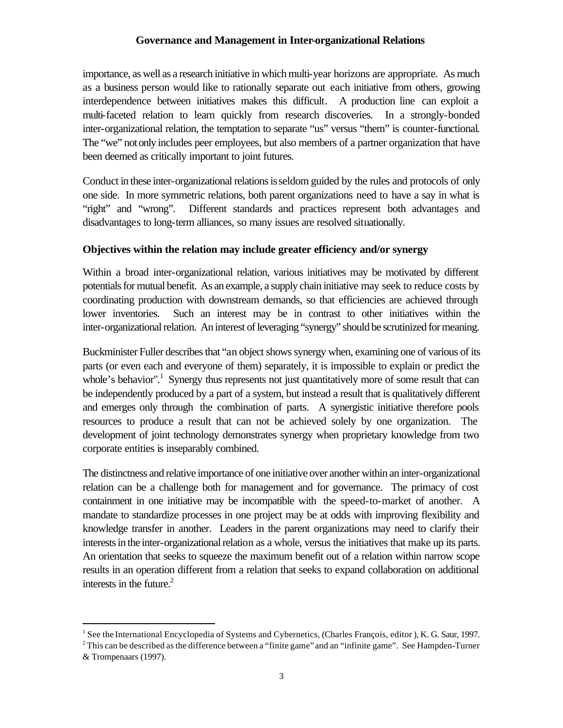importance, as well as a research initiative in which multi-year horizons are appropriate. As much as a business person would like to rationally separate out each initiative from others, growing interdependence between initiatives makes this difficult. A production line can exploit a multi-faceted relation to learn quickly from research discoveries. In a strongly-bonded inter-organizational relation, the temptation to separate "us" versus "them" is counter-functional. The "we" not only includes peer employees, but also members of a partner organization that have been deemed as critically important to joint futures.

Conduct in these inter-organizational relations is seldom guided by the rules and protocols of only one side. In more symmetric relations, both parent organizations need to have a say in what is "right" and "wrong". Different standards and practices represent both advantages and disadvantages to long-term alliances, so many issues are resolved situationally.

# **Objectives within the relation may include greater efficiency and/or synergy**

Within a broad inter-organizational relation, various initiatives may be motivated by different potentials for mutual benefit. As an example, a supply chain initiative may seek to reduce costs by coordinating production with downstream demands, so that efficiencies are achieved through lower inventories. Such an interest may be in contrast to other initiatives within the inter-organizational relation. An interest of leveraging "synergy" should be scrutinized for meaning.

Buckminister Fuller describes that "an object shows synergy when, examining one of various of its parts (or even each and everyone of them) separately, it is impossible to explain or predict the whole's behavior".<sup>1</sup> Synergy thus represents not just quantitatively more of some result that can be independently produced by a part of a system, but instead a result that is qualitatively different and emerges only through the combination of parts. A synergistic initiative therefore pools resources to produce a result that can not be achieved solely by one organization. The development of joint technology demonstrates synergy when proprietary knowledge from two corporate entities is inseparably combined.

The distinctness and relative importance of one initiative over another within an inter-organizational relation can be a challenge both for management and for governance. The primacy of cost containment in one initiative may be incompatible with the speed-to-market of another. A mandate to standardize processes in one project may be at odds with improving flexibility and knowledge transfer in another. Leaders in the parent organizations may need to clarify their interests in the inter-organizational relation as a whole, versus the initiatives that make up its parts. An orientation that seeks to squeeze the maximum benefit out of a relation within narrow scope results in an operation different from a relation that seeks to expand collaboration on additional interests in the future. $^{2}$ 

<sup>&</sup>lt;sup>1</sup> See the International Encyclopedia of Systems and Cybernetics, (Charles François, editor), K. G. Saur, 1997.  $2^2$ This can be described as the difference between a "finite game" and an "infinite game". See Hampden-Turner

<sup>&</sup>amp; Trompenaars (1997).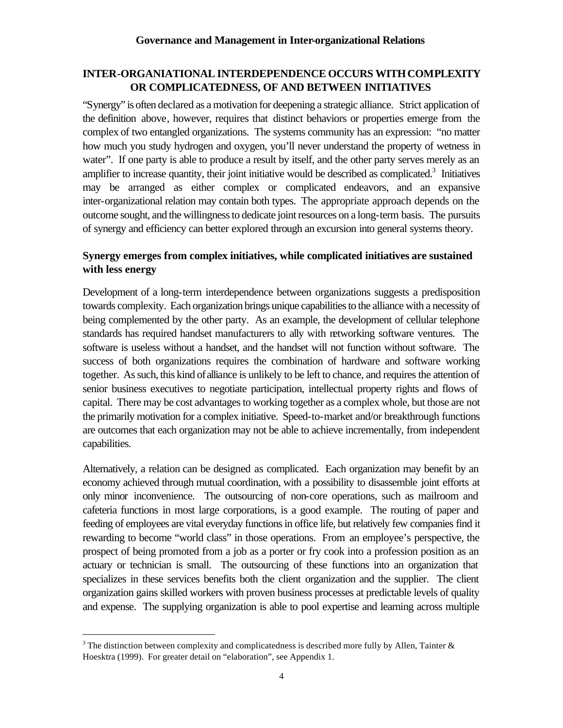# **INTER-ORGANIATIONAL INTERDEPENDENCE OCCURS WITH COMPLEXITY OR COMPLICATEDNESS, OF AND BETWEEN INITIATIVES**

"Synergy" is often declared as a motivation for deepening a strategic alliance. Strict application of the definition above, however, requires that distinct behaviors or properties emerge from the complex of two entangled organizations. The systems community has an expression: "no matter how much you study hydrogen and oxygen, you'll never understand the property of wetness in water". If one party is able to produce a result by itself, and the other party serves merely as an amplifier to increase quantity, their joint initiative would be described as complicated.<sup>3</sup> Initiatives may be arranged as either complex or complicated endeavors, and an expansive inter-organizational relation may contain both types. The appropriate approach depends on the outcome sought, and the willingness to dedicate joint resources on a long-term basis. The pursuits of synergy and efficiency can better explored through an excursion into general systems theory.

# **Synergy emerges from complex initiatives, while complicated initiatives are sustained with less energy**

Development of a long-term interdependence between organizations suggests a predisposition towards complexity. Each organization brings unique capabilitiesto the alliance with a necessity of being complemented by the other party. As an example, the development of cellular telephone standards has required handset manufacturers to ally with networking software ventures. The software is useless without a handset, and the handset will not function without software. The success of both organizations requires the combination of hardware and software working together. As such, this kind of alliance is unlikely to be left to chance, and requires the attention of senior business executives to negotiate participation, intellectual property rights and flows of capital. There may be cost advantages to working together as a complex whole, but those are not the primarily motivation for a complex initiative. Speed-to-market and/or breakthrough functions are outcomes that each organization may not be able to achieve incrementally, from independent capabilities.

Alternatively, a relation can be designed as complicated. Each organization may benefit by an economy achieved through mutual coordination, with a possibility to disassemble joint efforts at only minor inconvenience. The outsourcing of non-core operations, such as mailroom and cafeteria functions in most large corporations, is a good example. The routing of paper and feeding of employees are vital everyday functions in office life, but relatively few companies find it rewarding to become "world class" in those operations. From an employee's perspective, the prospect of being promoted from a job as a porter or fry cook into a profession position as an actuary or technician is small. The outsourcing of these functions into an organization that specializes in these services benefits both the client organization and the supplier. The client organization gains skilled workers with proven business processes at predictable levels of quality and expense. The supplying organization is able to pool expertise and learning across multiple

<sup>&</sup>lt;sup>3</sup> The distinction between complexity and complicatedness is described more fully by Allen, Tainter  $\&$ Hoesktra (1999). For greater detail on "elaboration", see Appendix 1.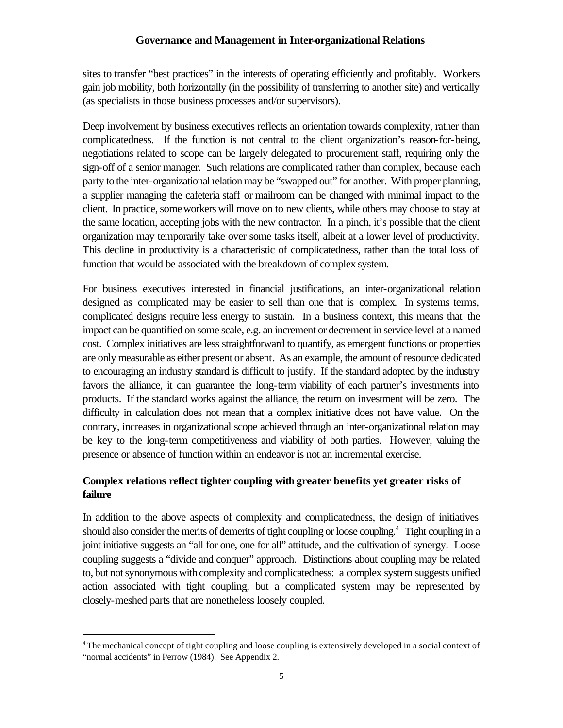sites to transfer "best practices" in the interests of operating efficiently and profitably. Workers gain job mobility, both horizontally (in the possibility of transferring to another site) and vertically (as specialists in those business processes and/or supervisors).

Deep involvement by business executives reflects an orientation towards complexity, rather than complicatedness. If the function is not central to the client organization's reason-for-being, negotiations related to scope can be largely delegated to procurement staff, requiring only the sign-off of a senior manager. Such relations are complicated rather than complex, because each party to the inter-organizational relation may be "swapped out" for another. With proper planning, a supplier managing the cafeteria staff or mailroom can be changed with minimal impact to the client. In practice, some workers will move on to new clients, while others may choose to stay at the same location, accepting jobs with the new contractor. In a pinch, it's possible that the client organization may temporarily take over some tasks itself, albeit at a lower level of productivity. This decline in productivity is a characteristic of complicatedness, rather than the total loss of function that would be associated with the breakdown of complex system.

For business executives interested in financial justifications, an inter-organizational relation designed as complicated may be easier to sell than one that is complex. In systems terms, complicated designs require less energy to sustain. In a business context, this means that the impact can be quantified on some scale, e.g. an increment or decrement in service level at a named cost. Complex initiatives are less straightforward to quantify, as emergent functions or properties are only measurable as either present or absent. As an example, the amount of resource dedicated to encouraging an industry standard is difficult to justify. If the standard adopted by the industry favors the alliance, it can guarantee the long-term viability of each partner's investments into products. If the standard works against the alliance, the return on investment will be zero. The difficulty in calculation does not mean that a complex initiative does not have value. On the contrary, increases in organizational scope achieved through an inter-organizational relation may be key to the long-term competitiveness and viability of both parties. However, valuing the presence or absence of function within an endeavor is not an incremental exercise.

# **Complex relations reflect tighter coupling with greater benefits yet greater risks of failure**

In addition to the above aspects of complexity and complicatedness, the design of initiatives should also consider the merits of demerits of tight coupling or loose coupling.<sup>4</sup> Tight coupling in a joint initiative suggests an "all for one, one for all" attitude, and the cultivation of synergy. Loose coupling suggests a "divide and conquer" approach. Distinctions about coupling may be related to, but not synonymous with complexity and complicatedness: a complex system suggests unified action associated with tight coupling, but a complicated system may be represented by closely-meshed parts that are nonetheless loosely coupled.

<sup>&</sup>lt;sup>4</sup> The mechanical concept of tight coupling and loose coupling is extensively developed in a social context of "normal accidents" in Perrow (1984). See Appendix 2.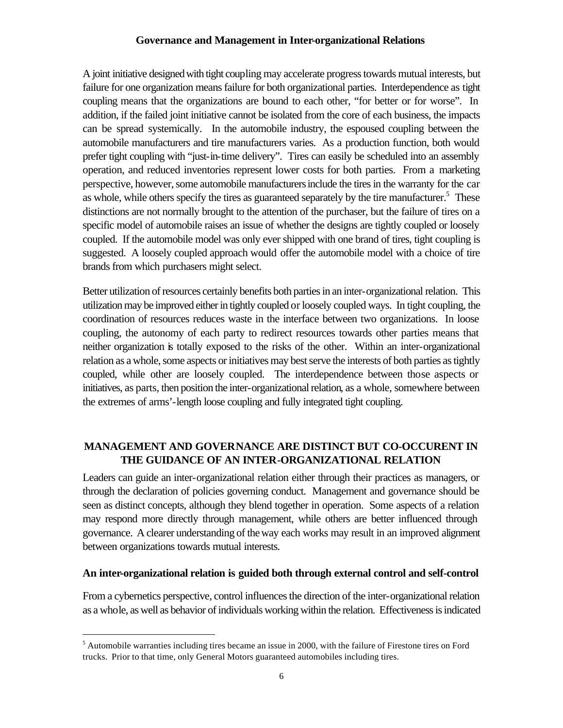A joint initiative designed with tight coupling may accelerate progress towards mutual interests, but failure for one organization means failure for both organizational parties. Interdependence as tight coupling means that the organizations are bound to each other, "for better or for worse". In addition, if the failed joint initiative cannot be isolated from the core of each business, the impacts can be spread systemically. In the automobile industry, the espoused coupling between the automobile manufacturers and tire manufacturers varies. As a production function, both would prefer tight coupling with "just-in-time delivery". Tires can easily be scheduled into an assembly operation, and reduced inventories represent lower costs for both parties. From a marketing perspective, however, some automobile manufacturers include the tires in the warranty for the car as whole, while others specify the tires as guaranteed separately by the tire manufacturer.<sup>5</sup> These distinctions are not normally brought to the attention of the purchaser, but the failure of tires on a specific model of automobile raises an issue of whether the designs are tightly coupled or loosely coupled. If the automobile model was only ever shipped with one brand of tires, tight coupling is suggested. A loosely coupled approach would offer the automobile model with a choice of tire brands from which purchasers might select.

Better utilization of resources certainly benefits both parties in an inter-organizational relation. This utilization may be improved either in tightly coupled or loosely coupled ways. In tight coupling, the coordination of resources reduces waste in the interface between two organizations. In loose coupling, the autonomy of each party to redirect resources towards other parties means that neither organization is totally exposed to the risks of the other. Within an inter-organizational relation as a whole, some aspects or initiatives may best serve the interests of both parties as tightly coupled, while other are loosely coupled. The interdependence between those aspects or initiatives, as parts, then position the inter-organizational relation, as a whole, somewhere between the extremes of arms'-length loose coupling and fully integrated tight coupling.

# **MANAGEMENT AND GOVERNANCE ARE DISTINCT BUT CO-OCCURENT IN THE GUIDANCE OF AN INTER-ORGANIZATIONAL RELATION**

Leaders can guide an inter-organizational relation either through their practices as managers, or through the declaration of policies governing conduct. Management and governance should be seen as distinct concepts, although they blend together in operation. Some aspects of a relation may respond more directly through management, while others are better influenced through governance. A clearer understanding of the way each works may result in an improved alignment between organizations towards mutual interests.

### **An inter-organizational relation is guided both through external control and self-control**

From a cybernetics perspective, control influences the direction of the inter-organizational relation as a whole, as well as behavior of individuals working within the relation. Effectiveness is indicated

<sup>&</sup>lt;sup>5</sup> Automobile warranties including tires became an issue in 2000, with the failure of Firestone tires on Ford trucks. Prior to that time, only General Motors guaranteed automobiles including tires.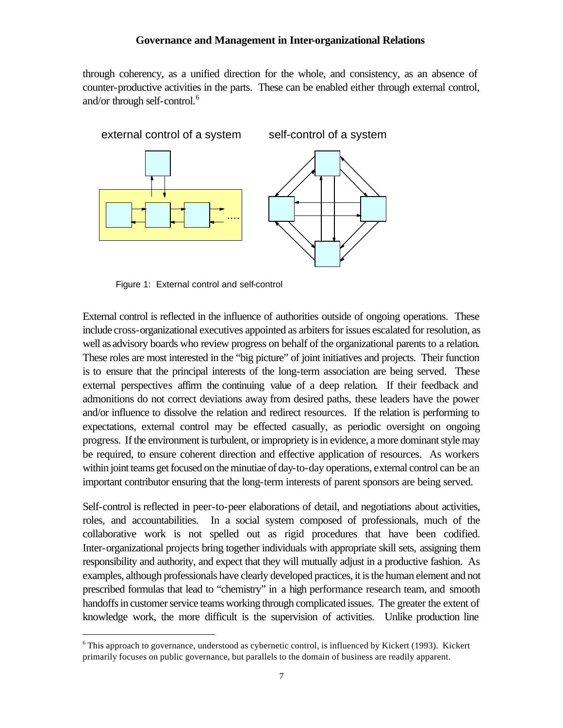through coherency, as a unified direction for the whole, and consistency, as an absence of counter-productive activities in the parts. These can be enabled either through external control, and/or through self-control.<sup>6</sup>



Figure 1: External control and self-control

 $\overline{a}$ 

External control is reflected in the influence of authorities outside of ongoing operations. These include cross-organizational executives appointed as arbiters for issues escalated for resolution, as well as advisory boards who review progress on behalf of the organizational parents to a relation. These roles are most interested in the "big picture" of joint initiatives and projects. Their function is to ensure that the principal interests of the long-term association are being served. These external perspectives affirm the continuing value of a deep relation. If their feedback and admonitions do not correct deviations away from desired paths, these leaders have the power and/or influence to dissolve the relation and redirect resources. If the relation is performing to expectations, external control may be effected casually, as periodic oversight on ongoing progress. If the environment is turbulent, or impropriety is in evidence, a more dominant style may be required, to ensure coherent direction and effective application of resources. As workers within joint teams get focused on the minutiae of day-to-day operations, external control can be an important contributor ensuring that the long-term interests of parent sponsors are being served.

Self-control is reflected in peer-to-peer elaborations of detail, and negotiations about activities, roles, and accountabilities. In a social system composed of professionals, much of the collaborative work is not spelled out as rigid procedures that have been codified. Inter-organizational projects bring together individuals with appropriate skill sets, assigning them responsibility and authority, and expect that they will mutually adjust in a productive fashion. As examples, although professionals have clearly developed practices, it is the human element and not prescribed formulas that lead to "chemistry" in a high performance research team, and smooth handoffs in customer service teams working through complicated issues. The greater the extent of knowledge work, the more difficult is the supervision of activities. Unlike production line

<sup>&</sup>lt;sup>6</sup> This approach to governance, understood as cybernetic control, is influenced by Kickert (1993). Kickert primarily focuses on public governance, but parallels to the domain of business are readily apparent.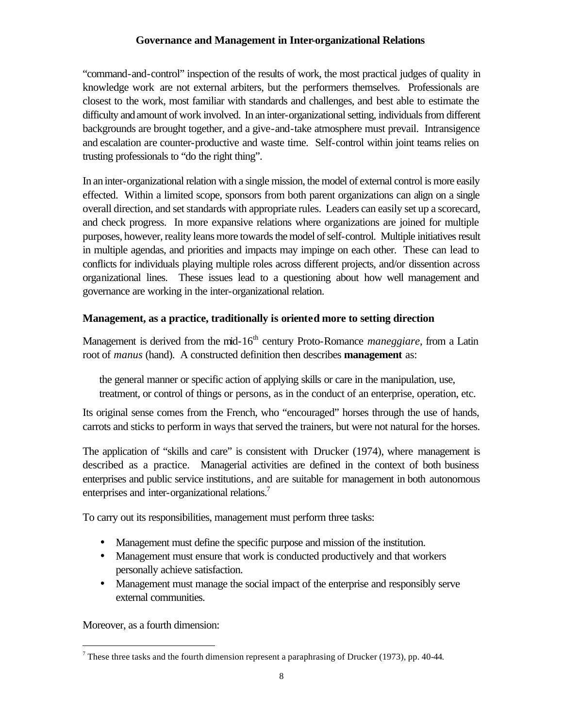"command-and-control" inspection of the results of work, the most practical judges of quality in knowledge work are not external arbiters, but the performers themselves. Professionals are closest to the work, most familiar with standards and challenges, and best able to estimate the difficulty and amount of work involved. In an inter-organizational setting, individuals from different backgrounds are brought together, and a give-and-take atmosphere must prevail. Intransigence and escalation are counter-productive and waste time. Self-control within joint teams relies on trusting professionals to "do the right thing".

In an inter-organizational relation with a single mission, the model of external control is more easily effected. Within a limited scope, sponsors from both parent organizations can align on a single overall direction, and set standards with appropriate rules. Leaders can easily set up a scorecard, and check progress. In more expansive relations where organizations are joined for multiple purposes, however, reality leans more towards the model of self-control. Multiple initiatives result in multiple agendas, and priorities and impacts may impinge on each other. These can lead to conflicts for individuals playing multiple roles across different projects, and/or dissention across organizational lines. These issues lead to a questioning about how well management and governance are working in the inter-organizational relation.

# **Management, as a practice, traditionally is oriented more to setting direction**

Management is derived from the mid-16<sup>th</sup> century Proto-Romance *maneggiare*, from a Latin root of *manus* (hand). A constructed definition then describes **management** as:

the general manner or specific action of applying skills or care in the manipulation, use, treatment, or control of things or persons, as in the conduct of an enterprise, operation, etc.

Its original sense comes from the French, who "encouraged" horses through the use of hands, carrots and sticks to perform in ways that served the trainers, but were not natural for the horses.

The application of "skills and care" is consistent with Drucker (1974), where management is described as a practice. Managerial activities are defined in the context of both business enterprises and public service institutions, and are suitable for management in both autonomous enterprises and inter-organizational relations.<sup>7</sup>

To carry out its responsibilities, management must perform three tasks:

- Management must define the specific purpose and mission of the institution.
- Management must ensure that work is conducted productively and that workers personally achieve satisfaction.
- Management must manage the social impact of the enterprise and responsibly serve external communities.

Moreover, as a fourth dimension:

<sup>&</sup>lt;sup>7</sup> These three tasks and the fourth dimension represent a paraphrasing of Drucker (1973), pp. 40-44.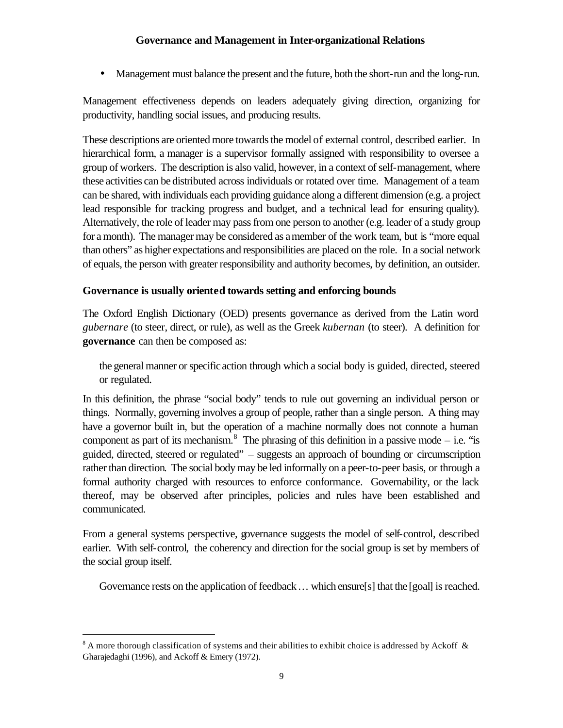• Management must balance the present and the future, both the short-run and the long-run.

Management effectiveness depends on leaders adequately giving direction, organizing for productivity, handling social issues, and producing results.

These descriptions are oriented more towards the model of external control, described earlier. In hierarchical form, a manager is a supervisor formally assigned with responsibility to oversee a group of workers. The description is also valid, however, in a context of self-management, where these activities can be distributed across individuals or rotated over time. Management of a team can be shared, with individuals each providing guidance along a different dimension (e.g. a project lead responsible for tracking progress and budget, and a technical lead for ensuring quality). Alternatively, the role of leader may pass from one person to another (e.g. leader of a study group for a month). The manager may be considered as a member of the work team, but is "more equal than others" as higher expectations and responsibilities are placed on the role. In a social network of equals, the person with greater responsibility and authority becomes, by definition, an outsider.

# **Governance is usually oriented towards setting and enforcing bounds**

The Oxford English Dictionary (OED) presents governance as derived from the Latin word *gubernare* (to steer, direct, or rule), as well as the Greek *kubernan* (to steer). A definition for **governance** can then be composed as:

the general manner or specific action through which a social body is guided, directed, steered or regulated.

In this definition, the phrase "social body" tends to rule out governing an individual person or things. Normally, governing involves a group of people, rather than a single person. A thing may have a governor built in, but the operation of a machine normally does not connote a human component as part of its mechanism.<sup>8</sup> The phrasing of this definition in a passive mode  $-$  i.e. "is guided, directed, steered or regulated" – suggests an approach of bounding or circumscription rather than direction. The social body may be led informally on a peer-to-peer basis, or through a formal authority charged with resources to enforce conformance. Governability, or the lack thereof, may be observed after principles, policies and rules have been established and communicated.

From a general systems perspective, governance suggests the model of self-control, described earlier. With self-control, the coherency and direction for the social group is set by members of the social group itself.

Governance rests on the application of feedback ... which ensure[s] that the [goal] is reached.

 $8$  A more thorough classification of systems and their abilities to exhibit choice is addressed by Ackoff  $\&$ Gharajedaghi (1996), and Ackoff & Emery (1972).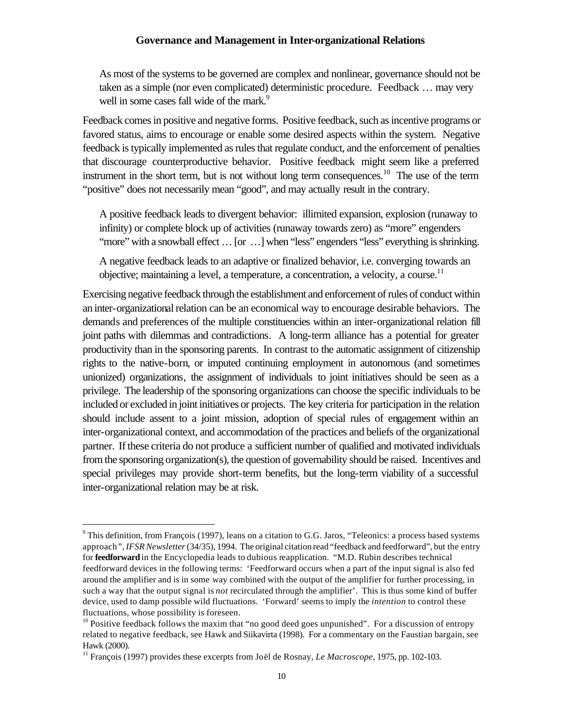As most of the systems to be governed are complex and nonlinear, governance should not be taken as a simple (nor even complicated) deterministic procedure. Feedback … may very well in some cases fall wide of the mark.<sup>9</sup>

Feedback comes in positive and negative forms. Positive feedback, such as incentive programs or favored status, aims to encourage or enable some desired aspects within the system. Negative feedback is typically implemented as rules that regulate conduct, and the enforcement of penalties that discourage counterproductive behavior. Positive feedback might seem like a preferred instrument in the short term, but is not without long term consequences.<sup>10</sup> The use of the term "positive" does not necessarily mean "good", and may actually result in the contrary.

A positive feedback leads to divergent behavior: illimited expansion, explosion (runaway to infinity) or complete block up of activities (runaway towards zero) as "more" engenders "more" with a snowball effect ... [or ...] when "less" engenders "less" everything is shrinking.

A negative feedback leads to an adaptive or finalized behavior, i.e. converging towards an objective; maintaining a level, a temperature, a concentration, a velocity, a course.<sup>11</sup>

Exercising negative feedback through the establishment and enforcement of rules of conduct within an inter-organizational relation can be an economical way to encourage desirable behaviors. The demands and preferences of the multiple constituencies within an inter-organizational relation fill joint paths with dilemmas and contradictions. A long-term alliance has a potential for greater productivity than in the sponsoring parents. In contrast to the automatic assignment of citizenship rights to the native-born, or imputed continuing employment in autonomous (and sometimes unionized) organizations, the assignment of individuals to joint initiatives should be seen as a privilege. The leadership of the sponsoring organizations can choose the specific individuals to be included or excluded in joint initiatives or projects. The key criteria for participation in the relation should include assent to a joint mission, adoption of special rules of engagement within an inter-organizational context, and accommodation of the practices and beliefs of the organizational partner. If these criteria do not produce a sufficient number of qualified and motivated individuals from the sponsoring organization(s), the question of governability should be raised. Incentives and special privileges may provide short-term benefits, but the long-term viability of a successful inter-organizational relation may be at risk.

 $9$  This definition, from François (1997), leans on a citation to G.G. Jaros, "Teleonics: a process based systems approach*", IFSR Newsletter* (34/35), 1994. The original citation read "feedback and feedforward", but the entry for **feedforward** in the Encyclopedia leads to dubious reapplication. "M.D. Rubin describes technical feedforward devices in the following terms: 'Feedforward occurs when a part of the input signal is also fed around the amplifier and is in some way combined with the output of the amplifier for further processing, in such a way that the output signal is *not* recirculated through the amplifier'. This is thus some kind of buffer device, used to damp possible wild fluctuations. 'Forward' seems to imply the *intention* to control these fluctuations, whose possibility is foreseen.

 $10$  Positive feedback follows the maxim that "no good deed goes unpunished". For a discussion of entropy related to negative feedback, see Hawk and Siikavirta (1998). For a commentary on the Faustian bargain, see Hawk (2000).

<sup>11</sup> François (1997) provides these excerpts from Joël de Rosnay, *Le Macroscope*, 1975, pp. 102-103.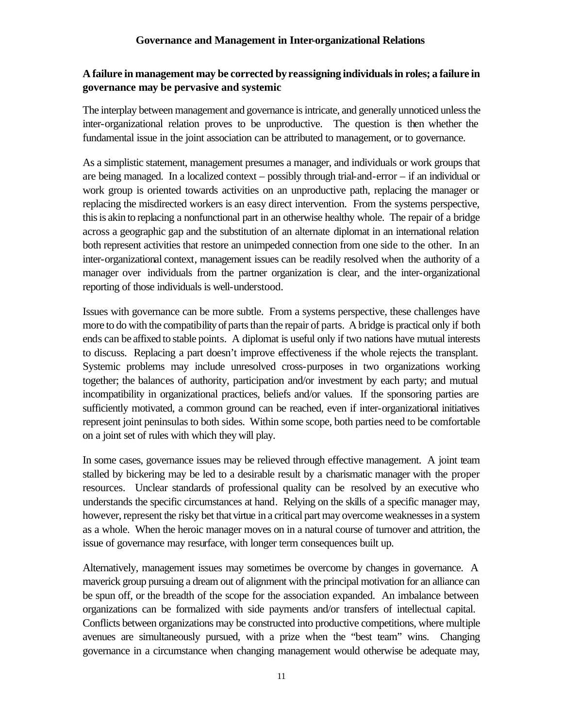# **A failure in management may be corrected by reassigning individuals in roles; a failure in governance may be pervasive and systemic**

The interplay between management and governance is intricate, and generally unnoticed unless the inter-organizational relation proves to be unproductive. The question is then whether the fundamental issue in the joint association can be attributed to management, or to governance.

As a simplistic statement, management presumes a manager, and individuals or work groups that are being managed. In a localized context – possibly through trial-and-error – if an individual or work group is oriented towards activities on an unproductive path, replacing the manager or replacing the misdirected workers is an easy direct intervention. From the systems perspective, this is akin to replacing a nonfunctional part in an otherwise healthy whole. The repair of a bridge across a geographic gap and the substitution of an alternate diplomat in an international relation both represent activities that restore an unimpeded connection from one side to the other. In an inter-organizational context, management issues can be readily resolved when the authority of a manager over individuals from the partner organization is clear, and the inter-organizational reporting of those individuals is well-understood.

Issues with governance can be more subtle. From a systems perspective, these challenges have more to do with the compatibility of parts than the repair of parts. A bridge is practical only if both ends can be affixed to stable points. A diplomat is useful only if two nations have mutual interests to discuss. Replacing a part doesn't improve effectiveness if the whole rejects the transplant. Systemic problems may include unresolved cross-purposes in two organizations working together; the balances of authority, participation and/or investment by each party; and mutual incompatibility in organizational practices, beliefs and/or values. If the sponsoring parties are sufficiently motivated, a common ground can be reached, even if inter-organizational initiatives represent joint peninsulas to both sides. Within some scope, both parties need to be comfortable on a joint set of rules with which they will play.

In some cases, governance issues may be relieved through effective management. A joint team stalled by bickering may be led to a desirable result by a charismatic manager with the proper resources. Unclear standards of professional quality can be resolved by an executive who understands the specific circumstances at hand. Relying on the skills of a specific manager may, however, represent the risky bet that virtue in a critical part may overcome weaknesses in a system as a whole. When the heroic manager moves on in a natural course of turnover and attrition, the issue of governance may resurface, with longer term consequences built up.

Alternatively, management issues may sometimes be overcome by changes in governance. A maverick group pursuing a dream out of alignment with the principal motivation for an alliance can be spun off, or the breadth of the scope for the association expanded. An imbalance between organizations can be formalized with side payments and/or transfers of intellectual capital. Conflicts between organizations may be constructed into productive competitions, where multiple avenues are simultaneously pursued, with a prize when the "best team" wins. Changing governance in a circumstance when changing management would otherwise be adequate may,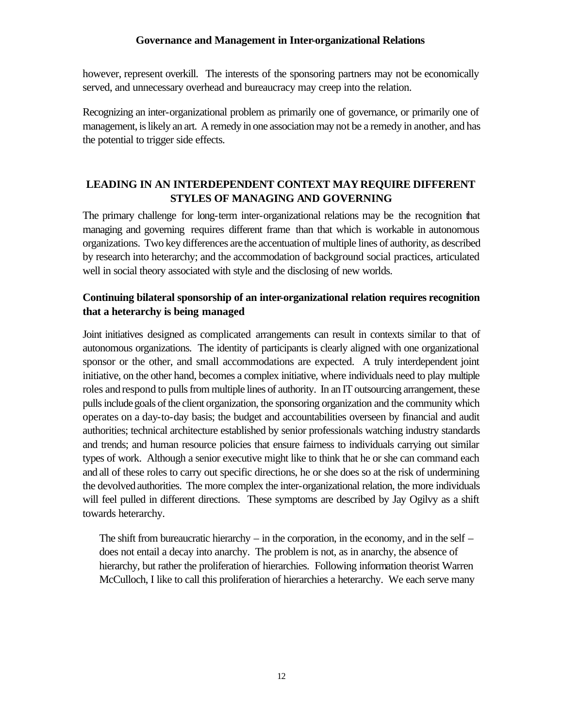however, represent overkill. The interests of the sponsoring partners may not be economically served, and unnecessary overhead and bureaucracy may creep into the relation.

Recognizing an inter-organizational problem as primarily one of governance, or primarily one of management, is likely an art. A remedy in one association may not be a remedy in another, and has the potential to trigger side effects.

# **LEADING IN AN INTERDEPENDENT CONTEXT MAY REQUIRE DIFFERENT STYLES OF MANAGING AND GOVERNING**

The primary challenge for long-term inter-organizational relations may be the recognition that managing and governing requires different frame than that which is workable in autonomous organizations. Two key differences are the accentuation of multiple lines of authority, as described by research into heterarchy; and the accommodation of background social practices, articulated well in social theory associated with style and the disclosing of new worlds.

# **Continuing bilateral sponsorship of an inter-organizational relation requires recognition that a heterarchy is being managed**

Joint initiatives designed as complicated arrangements can result in contexts similar to that of autonomous organizations. The identity of participants is clearly aligned with one organizational sponsor or the other, and small accommodations are expected. A truly interdependent joint initiative, on the other hand, becomes a complex initiative, where individuals need to play multiple roles and respond to pulls from multiple lines of authority. In an IT outsourcing arrangement, these pulls include goals of the client organization, the sponsoring organization and the community which operates on a day-to-day basis; the budget and accountabilities overseen by financial and audit authorities; technical architecture established by senior professionals watching industry standards and trends; and human resource policies that ensure fairness to individuals carrying out similar types of work. Although a senior executive might like to think that he or she can command each and all of these roles to carry out specific directions, he or she does so at the risk of undermining the devolved authorities. The more complex the inter-organizational relation, the more individuals will feel pulled in different directions. These symptoms are described by Jay Ogilvy as a shift towards heterarchy.

The shift from bureaucratic hierarchy – in the corporation, in the economy, and in the self – does not entail a decay into anarchy. The problem is not, as in anarchy, the absence of hierarchy, but rather the proliferation of hierarchies. Following information theorist Warren McCulloch, I like to call this proliferation of hierarchies a heterarchy. We each serve many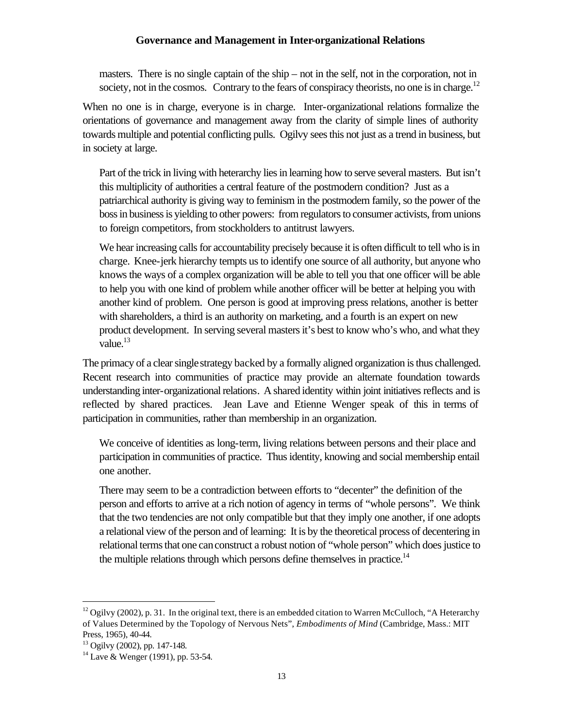masters. There is no single captain of the ship – not in the self, not in the corporation, not in society, not in the cosmos. Contrary to the fears of conspiracy theorists, no one is in charge.<sup>12</sup>

When no one is in charge, everyone is in charge. Inter-organizational relations formalize the orientations of governance and management away from the clarity of simple lines of authority towards multiple and potential conflicting pulls. Ogilvy sees this not just as a trend in business, but in society at large.

Part of the trick in living with heterarchy lies in learning how to serve several masters. But isn't this multiplicity of authorities a central feature of the postmodern condition? Just as a patriarchical authority is giving way to feminism in the postmodern family, so the power of the boss in business is yielding to other powers: from regulators to consumer activists, from unions to foreign competitors, from stockholders to antitrust lawyers.

We hear increasing calls for accountability precisely because it is often difficult to tell who is in charge. Knee-jerk hierarchy tempts us to identify one source of all authority, but anyone who knows the ways of a complex organization will be able to tell you that one officer will be able to help you with one kind of problem while another officer will be better at helping you with another kind of problem. One person is good at improving press relations, another is better with shareholders, a third is an authority on marketing, and a fourth is an expert on new product development. In serving several masters it's best to know who's who, and what they value. $^{13}$ 

The primacy of a clear single strategy backed by a formally aligned organization is thus challenged. Recent research into communities of practice may provide an alternate foundation towards understanding inter-organizational relations. A shared identity within joint initiatives reflects and is reflected by shared practices. Jean Lave and Etienne Wenger speak of this in terms of participation in communities, rather than membership in an organization.

We conceive of identities as long-term, living relations between persons and their place and participation in communities of practice. Thus identity, knowing and social membership entail one another.

There may seem to be a contradiction between efforts to "decenter" the definition of the person and efforts to arrive at a rich notion of agency in terms of "whole persons". We think that the two tendencies are not only compatible but that they imply one another, if one adopts a relational view of the person and of learning: It is by the theoretical process of decentering in relational terms that one can construct a robust notion of "whole person" which does justice to the multiple relations through which persons define themselves in practice.<sup>14</sup>

 $12$  Ogilvy (2002), p. 31. In the original text, there is an embedded citation to Warren McCulloch, "A Heterarchy of Values Determined by the Topology of Nervous Nets", *Embodiments of Mind* (Cambridge, Mass.: MIT Press, 1965), 40-44.

<sup>13</sup> Ogilvy (2002), pp. 147-148.

 $14$  Lave & Wenger (1991), pp. 53-54.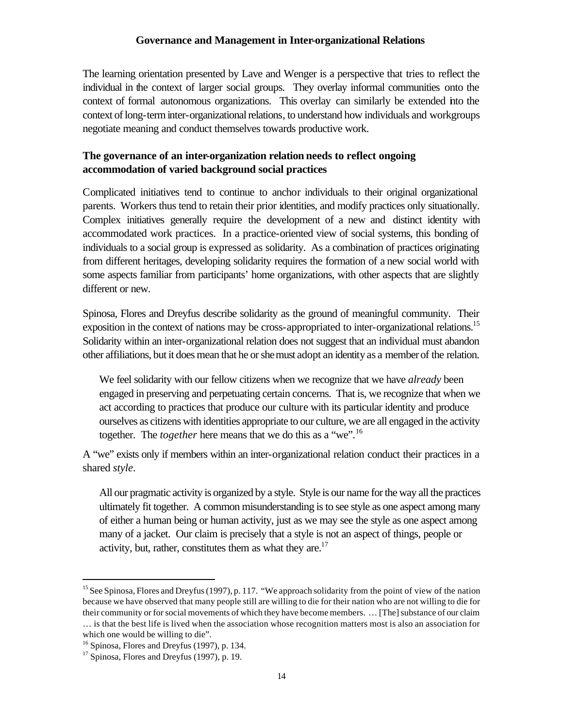The learning orientation presented by Lave and Wenger is a perspective that tries to reflect the individual in the context of larger social groups. They overlay informal communities onto the context of formal autonomous organizations. This overlay can similarly be extended into the context of long-term inter-organizational relations, to understand how individuals and workgroups negotiate meaning and conduct themselves towards productive work.

## **The governance of an inter-organization relation needs to reflect ongoing accommodation of varied background social practices**

Complicated initiatives tend to continue to anchor individuals to their original organizational parents. Workers thus tend to retain their prior identities, and modify practices only situationally. Complex initiatives generally require the development of a new and distinct identity with accommodated work practices. In a practice-oriented view of social systems, this bonding of individuals to a social group is expressed as solidarity. As a combination of practices originating from different heritages, developing solidarity requires the formation of a new social world with some aspects familiar from participants' home organizations, with other aspects that are slightly different or new.

Spinosa, Flores and Dreyfus describe solidarity as the ground of meaningful community. Their exposition in the context of nations may be cross-appropriated to inter-organizational relations.<sup>15</sup> Solidarity within an inter-organizational relation does not suggest that an individual must abandon other affiliations, but it does mean that he or she must adopt an identity as a member of the relation.

We feel solidarity with our fellow citizens when we recognize that we have *already* been engaged in preserving and perpetuating certain concerns. That is, we recognize that when we act according to practices that produce our culture with its particular identity and produce ourselves as citizens with identities appropriate to our culture, we are all engaged in the activity together. The *together* here means that we do this as a "we".<sup>16</sup>

A "we" exists only if members within an inter-organizational relation conduct their practices in a shared *style*.

All our pragmatic activity is organized by a style. Style is our name for the way all the practices ultimately fit together. A common misunderstanding is to see style as one aspect among many of either a human being or human activity, just as we may see the style as one aspect among many of a jacket. Our claim is precisely that a style is not an aspect of things, people or activity, but, rather, constitutes them as what they are. $17$ 

<sup>&</sup>lt;sup>15</sup> See Spinosa, Flores and Dreyfus (1997), p. 117. "We approach solidarity from the point of view of the nation because we have observed that many people still are willing to die for their nation who are not willing to die for their community or for social movements of which they have become members. … [The] substance of our claim … is that the best life is lived when the association whose recognition matters most is also an association for which one would be willing to die".

<sup>16</sup> Spinosa, Flores and Dreyfus (1997), p. 134.

 $17$  Spinosa, Flores and Dreyfus (1997), p. 19.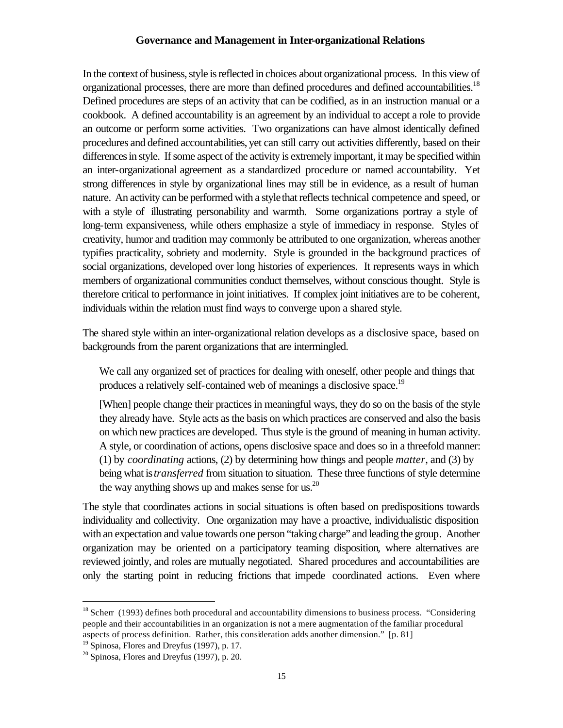In the context of business, style is reflected in choices about organizational process. In this view of organizational processes, there are more than defined procedures and defined accountabilities.<sup>18</sup> Defined procedures are steps of an activity that can be codified, as in an instruction manual or a cookbook. A defined accountability is an agreement by an individual to accept a role to provide an outcome or perform some activities. Two organizations can have almost identically defined procedures and defined accountabilities, yet can still carry out activities differently, based on their differences in style. If some aspect of the activity is extremely important, it may be specified within an inter-organizational agreement as a standardized procedure or named accountability. Yet strong differences in style by organizational lines may still be in evidence, as a result of human nature. An activity can be performed with a style that reflects technical competence and speed, or with a style of illustrating personability and warmth. Some organizations portray a style of long-term expansiveness, while others emphasize a style of immediacy in response. Styles of creativity, humor and tradition may commonly be attributed to one organization, whereas another typifies practicality, sobriety and modernity. Style is grounded in the background practices of social organizations, developed over long histories of experiences. It represents ways in which members of organizational communities conduct themselves, without conscious thought. Style is therefore critical to performance in joint initiatives. If complex joint initiatives are to be coherent, individuals within the relation must find ways to converge upon a shared style.

The shared style within an inter-organizational relation develops as a disclosive space, based on backgrounds from the parent organizations that are intermingled.

We call any organized set of practices for dealing with oneself, other people and things that produces a relatively self-contained web of meanings a disclosive space.<sup>19</sup>

[When] people change their practices in meaningful ways, they do so on the basis of the style they already have. Style acts as the basis on which practices are conserved and also the basis on which new practices are developed. Thus style is the ground of meaning in human activity. A style, or coordination of actions, opens disclosive space and does so in a threefold manner: (1) by *coordinating* actions, (2) by determining how things and people *matter*, and (3) by being what is *transferred* from situation to situation. These three functions of style determine the way anything shows up and makes sense for us. $^{20}$ 

The style that coordinates actions in social situations is often based on predispositions towards individuality and collectivity. One organization may have a proactive, individualistic disposition with an expectation and value towards one person "taking charge" and leading the group. Another organization may be oriented on a participatory teaming disposition, where alternatives are reviewed jointly, and roles are mutually negotiated. Shared procedures and accountabilities are only the starting point in reducing frictions that impede coordinated actions. Even where

 $18$  Scherr (1993) defines both procedural and accountability dimensions to business process. "Considering people and their accountabilities in an organization is not a mere augmentation of the familiar procedural aspects of process definition. Rather, this consideration adds another dimension." [p. 81]

<sup>19</sup> Spinosa, Flores and Dreyfus (1997), p. 17.

 $20$  Spinosa, Flores and Dreyfus (1997), p. 20.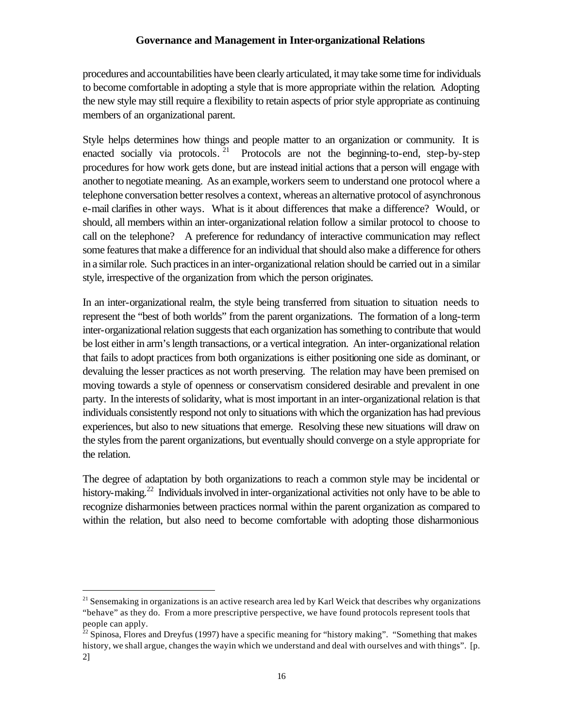procedures and accountabilities have been clearly articulated, it may take some time for individuals to become comfortable in adopting a style that is more appropriate within the relation. Adopting the new style may still require a flexibility to retain aspects of prior style appropriate as continuing members of an organizational parent.

Style helps determines how things and people matter to an organization or community. It is enacted socially via protocols.<sup>21</sup> Protocols are not the beginning-to-end, step-by-step procedures for how work gets done, but are instead initial actions that a person will engage with another to negotiate meaning. As an example, workers seem to understand one protocol where a telephone conversation better resolves a context, whereas an alternative protocol of asynchronous e-mail clarifies in other ways. What is it about differences that make a difference? Would, or should, all members within an inter-organizational relation follow a similar protocol to choose to call on the telephone? A preference for redundancy of interactive communication may reflect some features that make a difference for an individual that should also make a difference for others in a similar role. Such practices in an inter-organizational relation should be carried out in a similar style, irrespective of the organization from which the person originates.

In an inter-organizational realm, the style being transferred from situation to situation needs to represent the "best of both worlds" from the parent organizations. The formation of a long-term inter-organizational relation suggests that each organization has something to contribute that would be lost either in arm's length transactions, or a vertical integration. An inter-organizational relation that fails to adopt practices from both organizations is either positioning one side as dominant, or devaluing the lesser practices as not worth preserving. The relation may have been premised on moving towards a style of openness or conservatism considered desirable and prevalent in one party. In the interests of solidarity, what is most important in an inter-organizational relation is that individuals consistently respond not only to situations with which the organization has had previous experiences, but also to new situations that emerge. Resolving these new situations will draw on the styles from the parent organizations, but eventually should converge on a style appropriate for the relation.

The degree of adaptation by both organizations to reach a common style may be incidental or history-making.<sup>22</sup> Individuals involved in inter-organizational activities not only have to be able to recognize disharmonies between practices normal within the parent organization as compared to within the relation, but also need to become comfortable with adopting those disharmonious

<sup>&</sup>lt;sup>21</sup> Sensemaking in organizations is an active research area led by Karl Weick that describes why organizations "behave" as they do. From a more prescriptive perspective, we have found protocols represent tools that people can apply.

<sup>&</sup>lt;sup>22</sup> Spinosa, Flores and Dreyfus (1997) have a specific meaning for "history making". "Something that makes history, we shall argue, changes the way in which we understand and deal with ourselves and with things". [p. 2]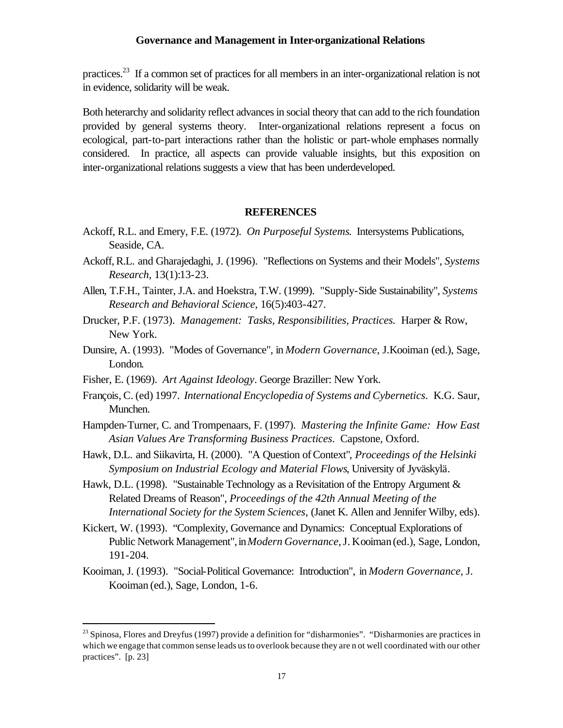practices.<sup>23</sup> If a common set of practices for all members in an inter-organizational relation is not in evidence, solidarity will be weak.

Both heterarchy and solidarity reflect advances in social theory that can add to the rich foundation provided by general systems theory. Inter-organizational relations represent a focus on ecological, part-to-part interactions rather than the holistic or part-whole emphases normally considered. In practice, all aspects can provide valuable insights, but this exposition on inter-organizational relations suggests a view that has been underdeveloped.

#### **REFERENCES**

- Ackoff, R.L. and Emery, F.E. (1972). *On Purposeful Systems*. Intersystems Publications, Seaside, CA.
- Ackoff, R.L. and Gharajedaghi, J. (1996). "Reflections on Systems and their Models", *Systems Research*, 13(1):13-23.
- Allen, T.F.H., Tainter, J.A. and Hoekstra, T.W. (1999). "Supply-Side Sustainability", *Systems Research and Behavioral Science*, 16(5):403-427.
- Drucker, P.F. (1973). *Management: Tasks, Responsibilities, Practices.* Harper & Row, New York.
- Dunsire, A. (1993). "Modes of Governance", in *Modern Governance*, J.Kooiman (ed.), Sage, London.
- Fisher, E. (1969). *Art Against Ideology*. George Braziller: New York.

- François, C. (ed) 1997. *International Encyclopedia of Systems and Cybernetics*. K.G. Saur, Munchen.
- Hampden-Turner, C. and Trompenaars, F. (1997). *Mastering the Infinite Game: How East Asian Values Are Transforming Business Practices*. Capstone, Oxford.
- Hawk, D.L. and Siikavirta, H. (2000). "A Question of Context", *Proceedings of the Helsinki Symposium on Industrial Ecology and Material Flows*, University of Jyväskylä.
- Hawk, D.L. (1998). "Sustainable Technology as a Revisitation of the Entropy Argument & Related Dreams of Reason", *Proceedings of the 42th Annual Meeting of the International Society for the System Sciences*, (Janet K. Allen and Jennifer Wilby, eds).
- Kickert, W. (1993). "Complexity, Governance and Dynamics: Conceptual Explorations of Public Network Management", in *Modern Governance*, J. Kooiman (ed.), Sage, London, 191-204.
- Kooiman, J. (1993). "Social-Political Governance: Introduction", in *Modern Governance*, J. Kooiman (ed.), Sage, London, 1-6.

 $^{23}$  Spinosa, Flores and Dreyfus (1997) provide a definition for "disharmonies". "Disharmonies are practices in which we engage that common sense leads us to overlook because they are n ot well coordinated with our other practices". [p. 23]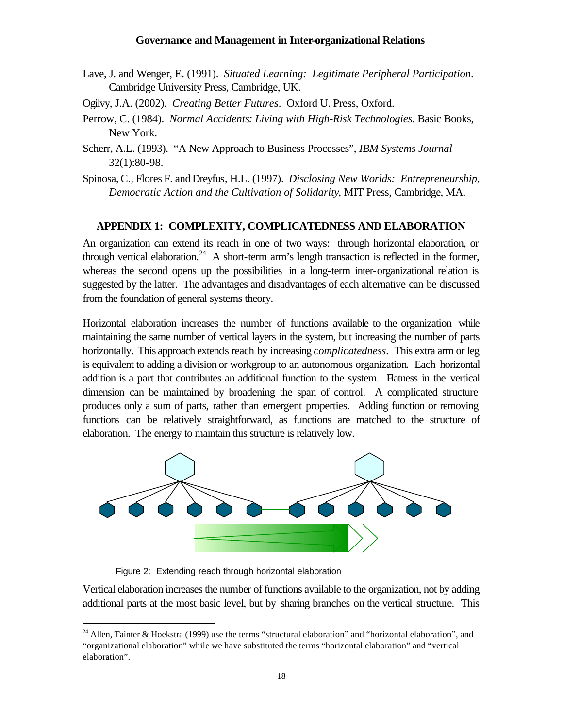- Lave, J. and Wenger, E. (1991). *Situated Learning: Legitimate Peripheral Participation*. Cambridge University Press, Cambridge, UK.
- Ogilvy, J.A. (2002). *Creating Better Futures*. Oxford U. Press, Oxford.
- Perrow, C. (1984). *Normal Accidents: Living with High-Risk Technologies*. Basic Books, New York.
- Scherr, A.L. (1993). "A New Approach to Business Processes", *IBM Systems Journal* 32(1):80-98.

Spinosa, C., Flores F. and Dreyfus, H.L. (1997). *Disclosing New Worlds: Entrepreneurship, Democratic Action and the Cultivation of Solidarity*, MIT Press, Cambridge, MA.

#### **APPENDIX 1: COMPLEXITY, COMPLICATEDNESS AND ELABORATION**

An organization can extend its reach in one of two ways: through horizontal elaboration, or through vertical elaboration.<sup>24</sup> A short-term arm's length transaction is reflected in the former, whereas the second opens up the possibilities in a long-term inter-organizational relation is suggested by the latter. The advantages and disadvantages of each alternative can be discussed from the foundation of general systems theory.

Horizontal elaboration increases the number of functions available to the organization while maintaining the same number of vertical layers in the system, but increasing the number of parts horizontally. This approach extends reach by increasing *complicatedness*. This extra arm or leg is equivalent to adding a division or workgroup to an autonomous organization. Each horizontal addition is a part that contributes an additional function to the system. Flatness in the vertical dimension can be maintained by broadening the span of control. A complicated structure produces only a sum of parts, rather than emergent properties. Adding function or removing functions can be relatively straightforward, as functions are matched to the structure of elaboration. The energy to maintain this structure is relatively low.



Figure 2: Extending reach through horizontal elaboration

 $\overline{a}$ 

Vertical elaboration increases the number of functions available to the organization, not by adding additional parts at the most basic level, but by sharing branches on the vertical structure. This

 $24$  Allen, Tainter & Hoekstra (1999) use the terms "structural elaboration" and "horizontal elaboration", and "organizational elaboration" while we have substituted the terms "horizontal elaboration" and "vertical elaboration".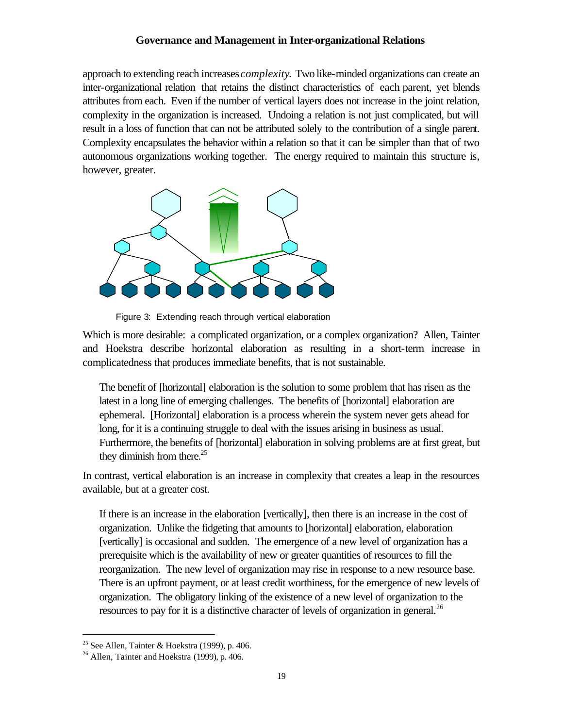approach to extending reach increases *complexity*. Two like-minded organizations can create an inter-organizational relation that retains the distinct characteristics of each parent, yet blends attributes from each. Even if the number of vertical layers does not increase in the joint relation, complexity in the organization is increased. Undoing a relation is not just complicated, but will result in a loss of function that can not be attributed solely to the contribution of a single parent. Complexity encapsulates the behavior within a relation so that it can be simpler than that of two autonomous organizations working together. The energy required to maintain this structure is, however, greater.



Figure 3: Extending reach through vertical elaboration

Which is more desirable: a complicated organization, or a complex organization? Allen, Tainter and Hoekstra describe horizontal elaboration as resulting in a short-term increase in complicatedness that produces immediate benefits, that is not sustainable.

The benefit of [horizontal] elaboration is the solution to some problem that has risen as the latest in a long line of emerging challenges. The benefits of [horizontal] elaboration are ephemeral. [Horizontal] elaboration is a process wherein the system never gets ahead for long, for it is a continuing struggle to deal with the issues arising in business as usual. Furthermore, the benefits of [horizontal] elaboration in solving problems are at first great, but they diminish from there.<sup>25</sup>

In contrast, vertical elaboration is an increase in complexity that creates a leap in the resources available, but at a greater cost.

If there is an increase in the elaboration [vertically], then there is an increase in the cost of organization. Unlike the fidgeting that amounts to [horizontal] elaboration, elaboration [vertically] is occasional and sudden. The emergence of a new level of organization has a prerequisite which is the availability of new or greater quantities of resources to fill the reorganization. The new level of organization may rise in response to a new resource base. There is an upfront payment, or at least credit worthiness, for the emergence of new levels of organization. The obligatory linking of the existence of a new level of organization to the resources to pay for it is a distinctive character of levels of organization in general.<sup>26</sup>

<sup>&</sup>lt;sup>25</sup> See Allen, Tainter & Hoekstra (1999), p. 406.

 $26$  Allen, Tainter and Hoekstra (1999), p. 406.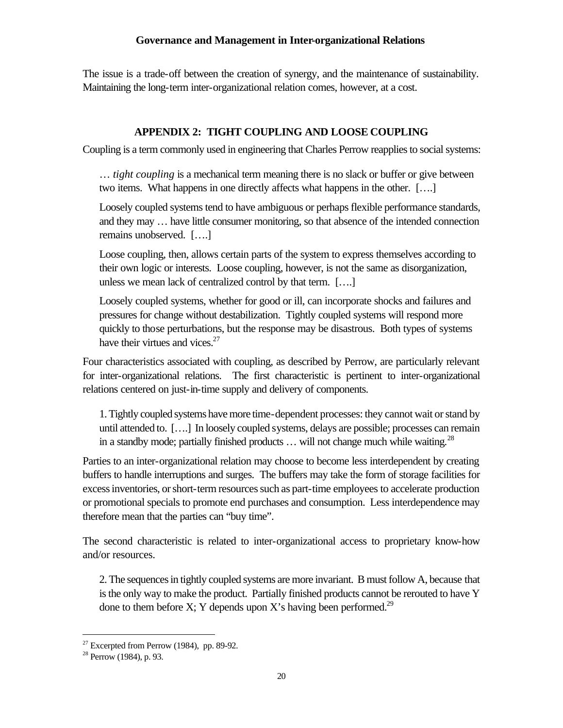The issue is a trade-off between the creation of synergy, and the maintenance of sustainability. Maintaining the long-term inter-organizational relation comes, however, at a cost.

# **APPENDIX 2: TIGHT COUPLING AND LOOSE COUPLING**

Coupling is a term commonly used in engineering that Charles Perrow reapplies to social systems:

… *tight coupling* is a mechanical term meaning there is no slack or buffer or give between two items. What happens in one directly affects what happens in the other. [….]

Loosely coupled systems tend to have ambiguous or perhaps flexible performance standards, and they may … have little consumer monitoring, so that absence of the intended connection remains unobserved. [….]

Loose coupling, then, allows certain parts of the system to express themselves according to their own logic or interests. Loose coupling, however, is not the same as disorganization, unless we mean lack of centralized control by that term. [….]

Loosely coupled systems, whether for good or ill, can incorporate shocks and failures and pressures for change without destabilization. Tightly coupled systems will respond more quickly to those perturbations, but the response may be disastrous. Both types of systems have their virtues and vices. $27$ 

Four characteristics associated with coupling, as described by Perrow, are particularly relevant for inter-organizational relations. The first characteristic is pertinent to inter-organizational relations centered on just-in-time supply and delivery of components.

1. Tightly coupled systems have more time-dependent processes: they cannot wait or stand by until attended to. [….] In loosely coupled systems, delays are possible; processes can remain in a standby mode; partially finished products  $\dots$  will not change much while waiting.<sup>28</sup>

Parties to an inter-organizational relation may choose to become less interdependent by creating buffers to handle interruptions and surges. The buffers may take the form of storage facilities for excess inventories, or short-term resources such as part-time employees to accelerate production or promotional specials to promote end purchases and consumption. Less interdependence may therefore mean that the parties can "buy time".

The second characteristic is related to inter-organizational access to proprietary know-how and/or resources.

2. The sequences in tightly coupled systems are more invariant. B must follow A, because that is the only way to make the product. Partially finished products cannot be rerouted to have Y done to them before X; Y depends upon X's having been performed.<sup>29</sup>

<sup>&</sup>lt;sup>27</sup> Excerpted from Perrow (1984), pp. 89-92.

<sup>28</sup> Perrow (1984), p. 93.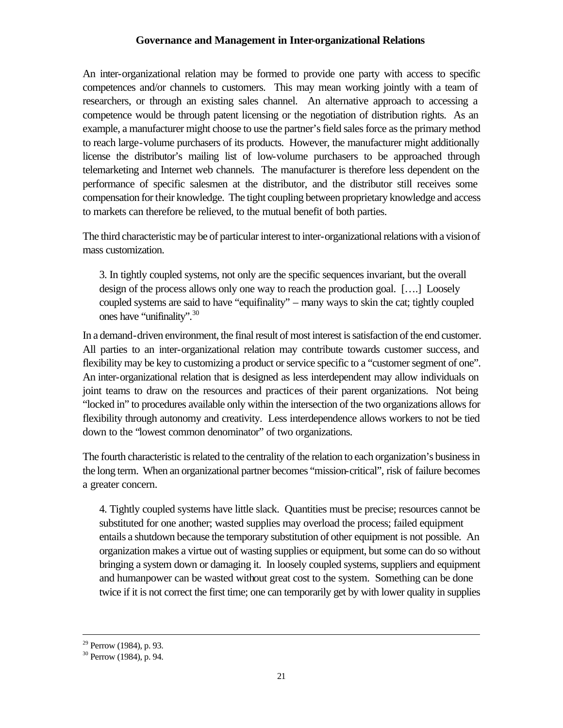An inter-organizational relation may be formed to provide one party with access to specific competences and/or channels to customers. This may mean working jointly with a team of researchers, or through an existing sales channel. An alternative approach to accessing a competence would be through patent licensing or the negotiation of distribution rights. As an example, a manufacturer might choose to use the partner's field sales force as the primary method to reach large-volume purchasers of its products. However, the manufacturer might additionally license the distributor's mailing list of low-volume purchasers to be approached through telemarketing and Internet web channels. The manufacturer is therefore less dependent on the performance of specific salesmen at the distributor, and the distributor still receives some compensation for their knowledge. The tight coupling between proprietary knowledge and access to markets can therefore be relieved, to the mutual benefit of both parties.

The third characteristic may be of particular interest to inter-organizational relations with a vision of mass customization.

3. In tightly coupled systems, not only are the specific sequences invariant, but the overall design of the process allows only one way to reach the production goal. [….] Loosely coupled systems are said to have "equifinality" – many ways to skin the cat; tightly coupled ones have "unifinality".<sup>30</sup>

In a demand-driven environment, the final result of most interest is satisfaction of the end customer. All parties to an inter-organizational relation may contribute towards customer success, and flexibility may be key to customizing a product or service specific to a "customer segment of one". An inter-organizational relation that is designed as less interdependent may allow individuals on joint teams to draw on the resources and practices of their parent organizations. Not being "locked in" to procedures available only within the intersection of the two organizations allows for flexibility through autonomy and creativity. Less interdependence allows workers to not be tied down to the "lowest common denominator" of two organizations.

The fourth characteristic is related to the centrality of the relation to each organization's business in the long term. When an organizational partner becomes "mission-critical", risk of failure becomes a greater concern.

4. Tightly coupled systems have little slack. Quantities must be precise; resources cannot be substituted for one another; wasted supplies may overload the process; failed equipment entails a shutdown because the temporary substitution of other equipment is not possible. An organization makes a virtue out of wasting supplies or equipment, but some can do so without bringing a system down or damaging it. In loosely coupled systems, suppliers and equipment and humanpower can be wasted without great cost to the system. Something can be done twice if it is not correct the first time; one can temporarily get by with lower quality in supplies

 $29$  Perrow (1984), p. 93.

 $30$  Perrow (1984), p. 94.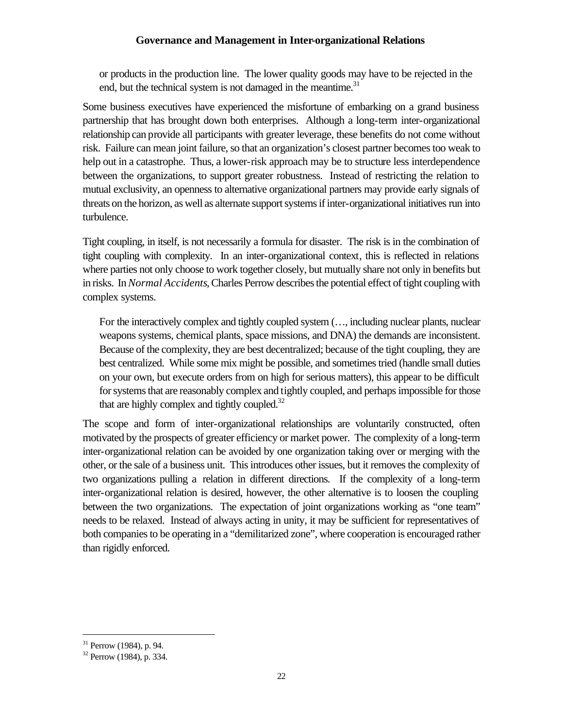or products in the production line. The lower quality goods may have to be rejected in the end, but the technical system is not damaged in the meantime. $31$ 

Some business executives have experienced the misfortune of embarking on a grand business partnership that has brought down both enterprises. Although a long-term inter-organizational relationship can provide all participants with greater leverage, these benefits do not come without risk. Failure can mean joint failure, so that an organization's closest partner becomes too weak to help out in a catastrophe. Thus, a lower-risk approach may be to structure less interdependence between the organizations, to support greater robustness. Instead of restricting the relation to mutual exclusivity, an openness to alternative organizational partners may provide early signals of threats on the horizon, as well as alternate support systems if inter-organizational initiatives run into turbulence.

Tight coupling, in itself, is not necessarily a formula for disaster. The risk is in the combination of tight coupling with complexity. In an inter-organizational context, this is reflected in relations where parties not only choose to work together closely, but mutually share not only in benefits but in risks. In *Normal Accidents*, Charles Perrow describes the potential effect of tight coupling with complex systems.

For the interactively complex and tightly coupled system (…, including nuclear plants, nuclear weapons systems, chemical plants, space missions, and DNA) the demands are inconsistent. Because of the complexity, they are best decentralized; because of the tight coupling, they are best centralized. While some mix might be possible, and sometimes tried (handle small duties on your own, but execute orders from on high for serious matters), this appear to be difficult for systems that are reasonably complex and tightly coupled, and perhaps impossible for those that are highly complex and tightly coupled. $32$ 

The scope and form of inter-organizational relationships are voluntarily constructed, often motivated by the prospects of greater efficiency or market power. The complexity of a long-term inter-organizational relation can be avoided by one organization taking over or merging with the other, or the sale of a business unit. This introduces other issues, but it removes the complexity of two organizations pulling a relation in different directions. If the complexity of a long-term inter-organizational relation is desired, however, the other alternative is to loosen the coupling between the two organizations. The expectation of joint organizations working as "one team" needs to be relaxed. Instead of always acting in unity, it may be sufficient for representatives of both companies to be operating in a "demilitarized zone", where cooperation is encouraged rather than rigidly enforced.

 $31$  Perrow (1984), p. 94.

 $32$  Perrow (1984), p. 334.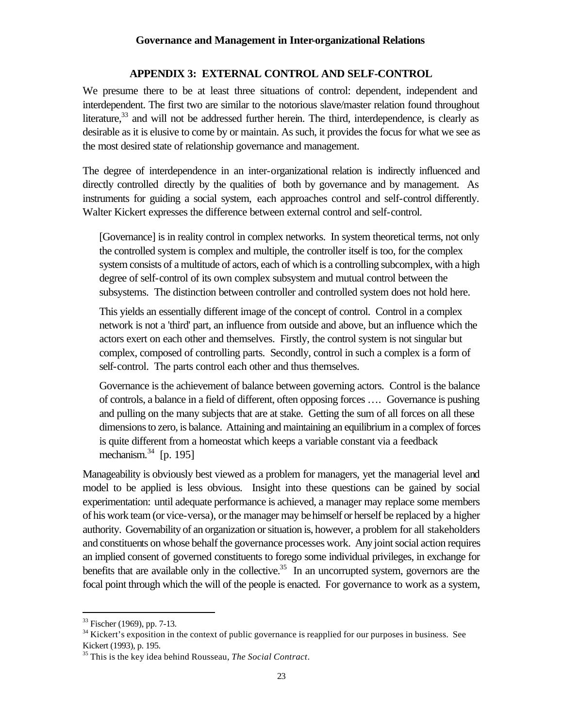#### **APPENDIX 3: EXTERNAL CONTROL AND SELF-CONTROL**

We presume there to be at least three situations of control: dependent, independent and interdependent. The first two are similar to the notorious slave/master relation found throughout literature, $33$  and will not be addressed further herein. The third, interdependence, is clearly as desirable as it is elusive to come by or maintain. As such, it provides the focus for what we see as the most desired state of relationship governance and management.

The degree of interdependence in an inter-organizational relation is indirectly influenced and directly controlled directly by the qualities of both by governance and by management. As instruments for guiding a social system, each approaches control and self-control differently. Walter Kickert expresses the difference between external control and self-control.

[Governance] is in reality control in complex networks. In system theoretical terms, not only the controlled system is complex and multiple, the controller itself is too, for the complex system consists of a multitude of actors, each of which is a controlling subcomplex, with a high degree of self-control of its own complex subsystem and mutual control between the subsystems. The distinction between controller and controlled system does not hold here.

This yields an essentially different image of the concept of control. Control in a complex network is not a 'third' part, an influence from outside and above, but an influence which the actors exert on each other and themselves. Firstly, the control system is not singular but complex, composed of controlling parts. Secondly, control in such a complex is a form of self-control. The parts control each other and thus themselves.

Governance is the achievement of balance between governing actors. Control is the balance of controls, a balance in a field of different, often opposing forces …. Governance is pushing and pulling on the many subjects that are at stake. Getting the sum of all forces on all these dimensions to zero, is balance. Attaining and maintaining an equilibrium in a complex of forces is quite different from a homeostat which keeps a variable constant via a feedback mechanism.<sup>34</sup> [p. 195]

Manageability is obviously best viewed as a problem for managers, yet the managerial level and model to be applied is less obvious. Insight into these questions can be gained by social experimentation: until adequate performance is achieved, a manager may replace some members of his work team (or vice-versa), or the manager may be himself or herself be replaced by a higher authority. Governability of an organization or situation is, however, a problem for all stakeholders and constituents on whose behalf the governance processes work. Any joint social action requires an implied consent of governed constituents to forego some individual privileges, in exchange for benefits that are available only in the collective.<sup>35</sup> In an uncorrupted system, governors are the focal point through which the will of the people is enacted. For governance to work as a system,

<sup>33</sup> Fischer (1969), pp. 7-13.

 $34$  Kickert's exposition in the context of public governance is reapplied for our purposes in business. See Kickert (1993), p. 195.

<sup>35</sup> This is the key idea behind Rousseau, *The Social Contract*.